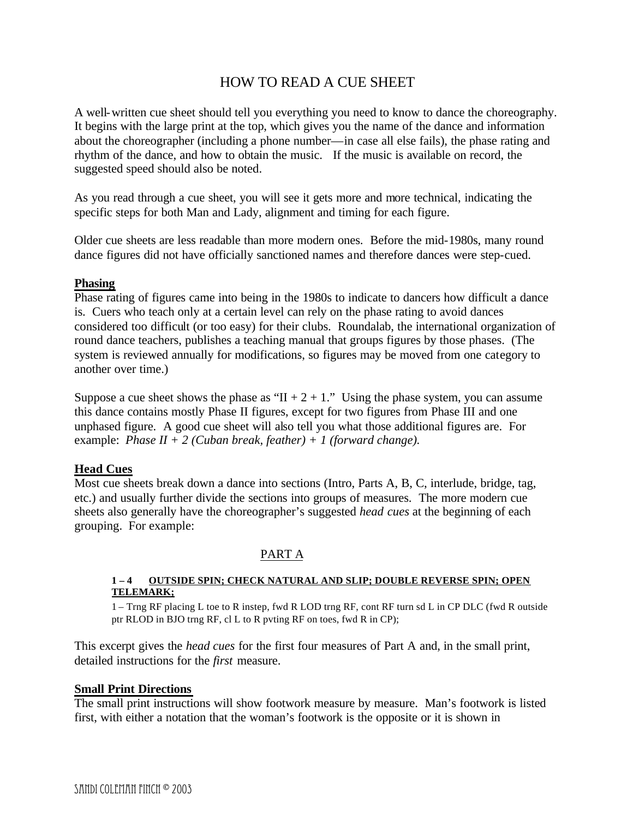# HOW TO READ A CUE SHEET

A well-written cue sheet should tell you everything you need to know to dance the choreography. It begins with the large print at the top, which gives you the name of the dance and information about the choreographer (including a phone number—in case all else fails), the phase rating and rhythm of the dance, and how to obtain the music. If the music is available on record, the suggested speed should also be noted.

As you read through a cue sheet, you will see it gets more and more technical, indicating the specific steps for both Man and Lady, alignment and timing for each figure.

Older cue sheets are less readable than more modern ones. Before the mid-1980s, many round dance figures did not have officially sanctioned names and therefore dances were step-cued.

### **Phasing**

Phase rating of figures came into being in the 1980s to indicate to dancers how difficult a dance is. Cuers who teach only at a certain level can rely on the phase rating to avoid dances considered too difficult (or too easy) for their clubs. Roundalab, the international organization of round dance teachers, publishes a teaching manual that groups figures by those phases. (The system is reviewed annually for modifications, so figures may be moved from one category to another over time.)

Suppose a cue sheet shows the phase as " $II + 2 + 1$ ." Using the phase system, you can assume this dance contains mostly Phase II figures, except for two figures from Phase III and one unphased figure. A good cue sheet will also tell you what those additional figures are. For example: *Phase II + 2 (Cuban break, feather) + 1 (forward change).*

## **Head Cues**

Most cue sheets break down a dance into sections (Intro, Parts A, B, C, interlude, bridge, tag, etc.) and usually further divide the sections into groups of measures. The more modern cue sheets also generally have the choreographer's suggested *head cues* at the beginning of each grouping. For example:

### PART A

#### **1 – 4 OUTSIDE SPIN; CHECK NATURAL AND SLIP; DOUBLE REVERSE SPIN; OPEN TELEMARK;**

1 – Trng RF placing L toe to R instep, fwd R LOD trng RF, cont RF turn sd L in CP DLC (fwd R outside ptr RLOD in BJO trng RF, cl L to R pvting RF on toes, fwd R in CP);

This excerpt gives the *head cues* for the first four measures of Part A and, in the small print, detailed instructions for the *first* measure.

### **Small Print Directions**

The small print instructions will show footwork measure by measure. Man's footwork is listed first, with either a notation that the woman's footwork is the opposite or it is shown in